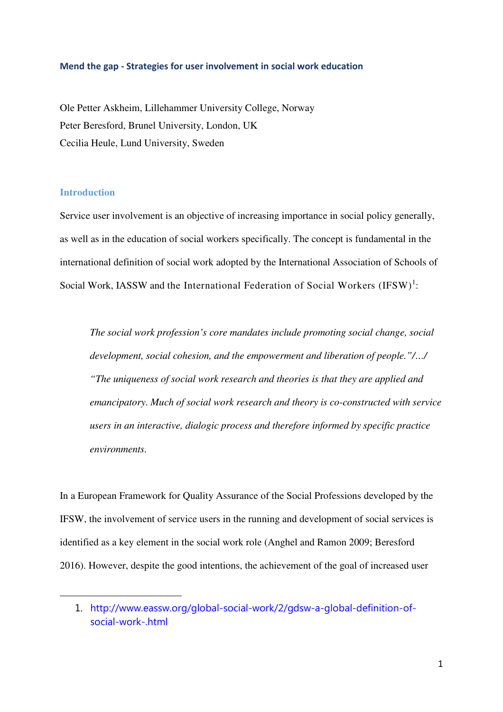#### **Mend the gap - Strategies for user involvement in social work education**

Ole Petter Askheim, Lillehammer University College, Norway Peter Beresford, Brunel University, London, UK Cecilia Heule, Lund University, Sweden

## **Introduction**

l

Service user involvement is an objective of increasing importance in social policy generally, as well as in the education of social workers specifically. The concept is fundamental in the international definition of social work adopted by the International Association of Schools of Social Work, IASSW and the International Federation of Social Workers  $(IFSW)^1$ :

*The social work profession's core mandates include promoting social change, social development, social cohesion, and the empowerment and liberation of people."/…/ "The uniqueness of social work research and theories is that they are applied and emancipatory. Much of social work research and theory is co-constructed with service users in an interactive, dialogic process and therefore informed by specific practice environments.* 

In a European Framework for Quality Assurance of the Social Professions developed by the IFSW, the involvement of service users in the running and development of social services is identified as a key element in the social work role (Anghel and Ramon 2009; Beresford 2016). However, despite the good intentions, the achievement of the goal of increased user

<sup>1.</sup> http://www.eassw.org/global-social-work/2/gdsw-a-global-definition-ofsocial-work-.html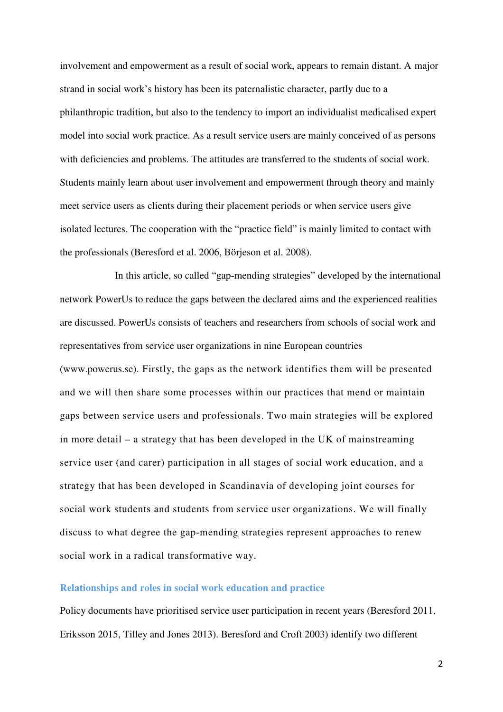involvement and empowerment as a result of social work, appears to remain distant. A major strand in social work's history has been its paternalistic character, partly due to a philanthropic tradition, but also to the tendency to import an individualist medicalised expert model into social work practice. As a result service users are mainly conceived of as persons with deficiencies and problems. The attitudes are transferred to the students of social work. Students mainly learn about user involvement and empowerment through theory and mainly meet service users as clients during their placement periods or when service users give isolated lectures. The cooperation with the "practice field" is mainly limited to contact with the professionals (Beresford et al. 2006, Börjeson et al. 2008).

In this article, so called "gap-mending strategies" developed by the international network PowerUs to reduce the gaps between the declared aims and the experienced realities are discussed. PowerUs consists of teachers and researchers from schools of social work and representatives from service user organizations in nine European countries (www.powerus.se). Firstly, the gaps as the network identifies them will be presented and we will then share some processes within our practices that mend or maintain gaps between service users and professionals. Two main strategies will be explored in more detail – a strategy that has been developed in the UK of mainstreaming service user (and carer) participation in all stages of social work education, and a strategy that has been developed in Scandinavia of developing joint courses for social work students and students from service user organizations. We will finally discuss to what degree the gap-mending strategies represent approaches to renew social work in a radical transformative way.

## **Relationships and roles in social work education and practice**

Policy documents have prioritised service user participation in recent years (Beresford 2011, Eriksson 2015, Tilley and Jones 2013). Beresford and Croft 2003) identify two different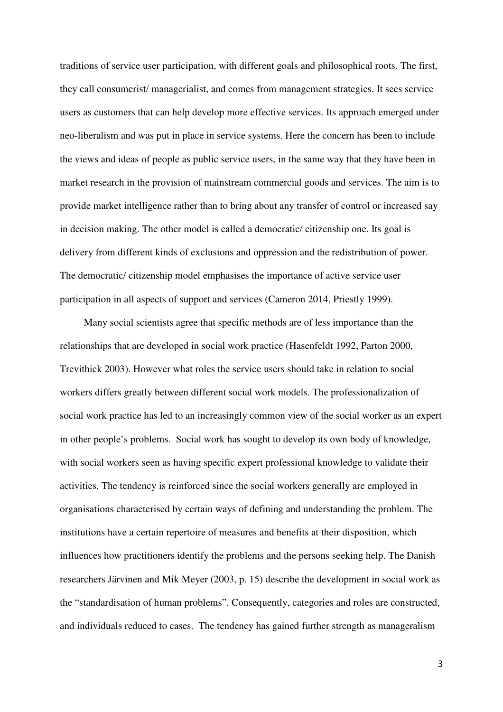traditions of service user participation, with different goals and philosophical roots. The first, they call consumerist/ managerialist, and comes from management strategies. It sees service users as customers that can help develop more effective services. Its approach emerged under neo-liberalism and was put in place in service systems. Here the concern has been to include the views and ideas of people as public service users, in the same way that they have been in market research in the provision of mainstream commercial goods and services. The aim is to provide market intelligence rather than to bring about any transfer of control or increased say in decision making. The other model is called a democratic/ citizenship one. Its goal is delivery from different kinds of exclusions and oppression and the redistribution of power. The democratic/ citizenship model emphasises the importance of active service user participation in all aspects of support and services (Cameron 2014, Priestly 1999).

Many social scientists agree that specific methods are of less importance than the relationships that are developed in social work practice (Hasenfeldt 1992, Parton 2000, Trevithick 2003). However what roles the service users should take in relation to social workers differs greatly between different social work models. The professionalization of social work practice has led to an increasingly common view of the social worker as an expert in other people's problems. Social work has sought to develop its own body of knowledge, with social workers seen as having specific expert professional knowledge to validate their activities. The tendency is reinforced since the social workers generally are employed in organisations characterised by certain ways of defining and understanding the problem. The institutions have a certain repertoire of measures and benefits at their disposition, which influences how practitioners identify the problems and the persons seeking help. The Danish researchers Järvinen and Mik Meyer (2003, p. 15) describe the development in social work as the "standardisation of human problems". Consequently, categories and roles are constructed, and individuals reduced to cases. The tendency has gained further strength as manageralism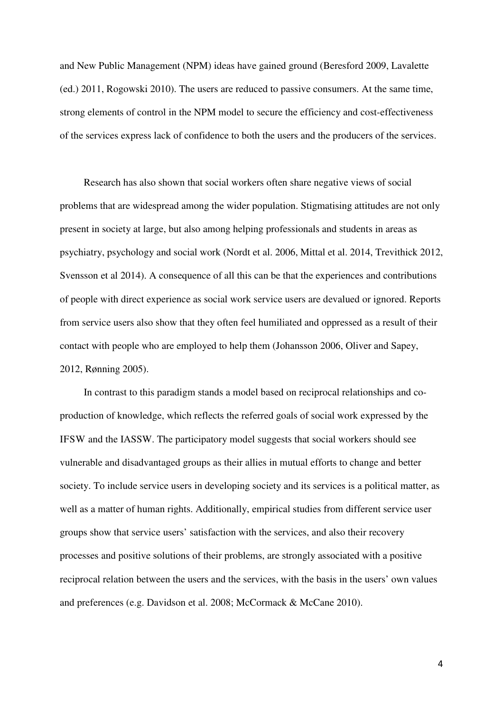and New Public Management (NPM) ideas have gained ground (Beresford 2009, Lavalette (ed.) 2011, Rogowski 2010). The users are reduced to passive consumers. At the same time, strong elements of control in the NPM model to secure the efficiency and cost-effectiveness of the services express lack of confidence to both the users and the producers of the services.

Research has also shown that social workers often share negative views of social problems that are widespread among the wider population. Stigmatising attitudes are not only present in society at large, but also among helping professionals and students in areas as psychiatry, psychology and social work (Nordt et al. 2006, Mittal et al. 2014, Trevithick 2012, Svensson et al 2014). A consequence of all this can be that the experiences and contributions of people with direct experience as social work service users are devalued or ignored. Reports from service users also show that they often feel humiliated and oppressed as a result of their contact with people who are employed to help them (Johansson 2006, Oliver and Sapey, 2012, Rønning 2005).

In contrast to this paradigm stands a model based on reciprocal relationships and coproduction of knowledge, which reflects the referred goals of social work expressed by the IFSW and the IASSW. The participatory model suggests that social workers should see vulnerable and disadvantaged groups as their allies in mutual efforts to change and better society. To include service users in developing society and its services is a political matter, as well as a matter of human rights. Additionally, empirical studies from different service user groups show that service users' satisfaction with the services, and also their recovery processes and positive solutions of their problems, are strongly associated with a positive reciprocal relation between the users and the services, with the basis in the users' own values and preferences (e.g. Davidson et al. 2008; McCormack & McCane 2010).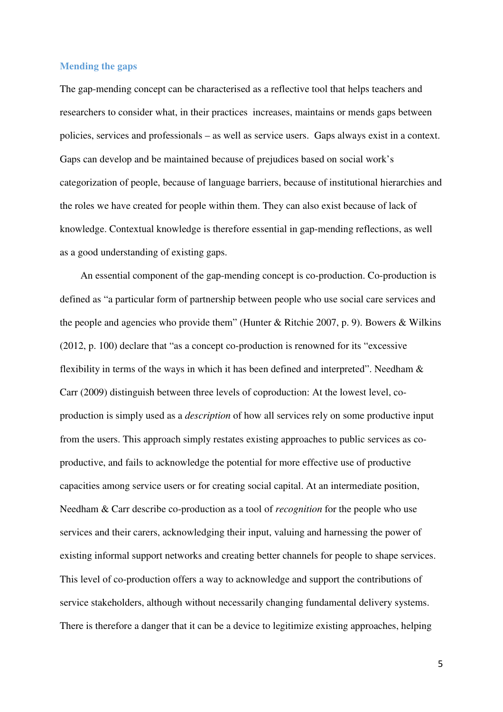## **Mending the gaps**

The gap-mending concept can be characterised as a reflective tool that helps teachers and researchers to consider what, in their practices increases, maintains or mends gaps between policies, services and professionals – as well as service users. Gaps always exist in a context. Gaps can develop and be maintained because of prejudices based on social work's categorization of people, because of language barriers, because of institutional hierarchies and the roles we have created for people within them. They can also exist because of lack of knowledge. Contextual knowledge is therefore essential in gap-mending reflections, as well as a good understanding of existing gaps.

 An essential component of the gap-mending concept is co-production. Co-production is defined as "a particular form of partnership between people who use social care services and the people and agencies who provide them" (Hunter & Ritchie 2007, p. 9). Bowers & Wilkins (2012, p. 100) declare that "as a concept co-production is renowned for its "excessive flexibility in terms of the ways in which it has been defined and interpreted". Needham & Carr (2009) distinguish between three levels of coproduction: At the lowest level, coproduction is simply used as a *description* of how all services rely on some productive input from the users. This approach simply restates existing approaches to public services as coproductive, and fails to acknowledge the potential for more effective use of productive capacities among service users or for creating social capital. At an intermediate position, Needham & Carr describe co-production as a tool of *recognition* for the people who use services and their carers, acknowledging their input, valuing and harnessing the power of existing informal support networks and creating better channels for people to shape services. This level of co-production offers a way to acknowledge and support the contributions of service stakeholders, although without necessarily changing fundamental delivery systems. There is therefore a danger that it can be a device to legitimize existing approaches, helping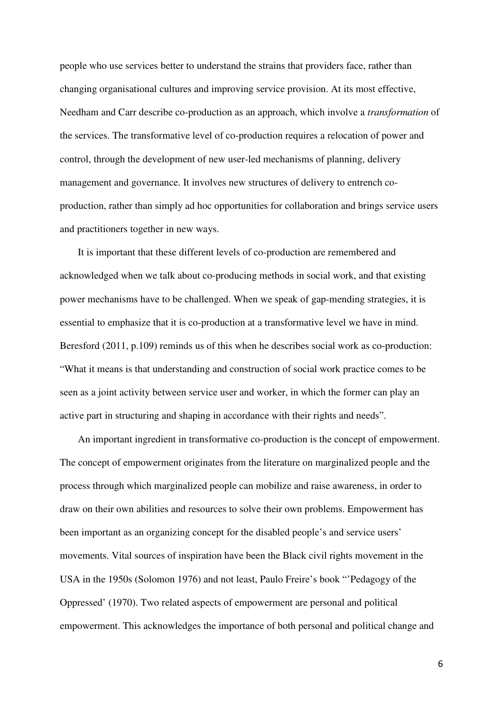people who use services better to understand the strains that providers face, rather than changing organisational cultures and improving service provision. At its most effective, Needham and Carr describe co-production as an approach, which involve a *transformation* of the services. The transformative level of co-production requires a relocation of power and control, through the development of new user-led mechanisms of planning, delivery management and governance. It involves new structures of delivery to entrench coproduction, rather than simply ad hoc opportunities for collaboration and brings service users and practitioners together in new ways.

It is important that these different levels of co-production are remembered and acknowledged when we talk about co-producing methods in social work, and that existing power mechanisms have to be challenged. When we speak of gap-mending strategies, it is essential to emphasize that it is co-production at a transformative level we have in mind. Beresford (2011, p.109) reminds us of this when he describes social work as co-production: "What it means is that understanding and construction of social work practice comes to be seen as a joint activity between service user and worker, in which the former can play an active part in structuring and shaping in accordance with their rights and needs".

An important ingredient in transformative co-production is the concept of empowerment. The concept of empowerment originates from the literature on marginalized people and the process through which marginalized people can mobilize and raise awareness, in order to draw on their own abilities and resources to solve their own problems. Empowerment has been important as an organizing concept for the disabled people's and service users' movements. Vital sources of inspiration have been the Black civil rights movement in the USA in the 1950s (Solomon 1976) and not least, Paulo Freire's book "'Pedagogy of the Oppressed' (1970). Two related aspects of empowerment are personal and political empowerment. This acknowledges the importance of both personal and political change and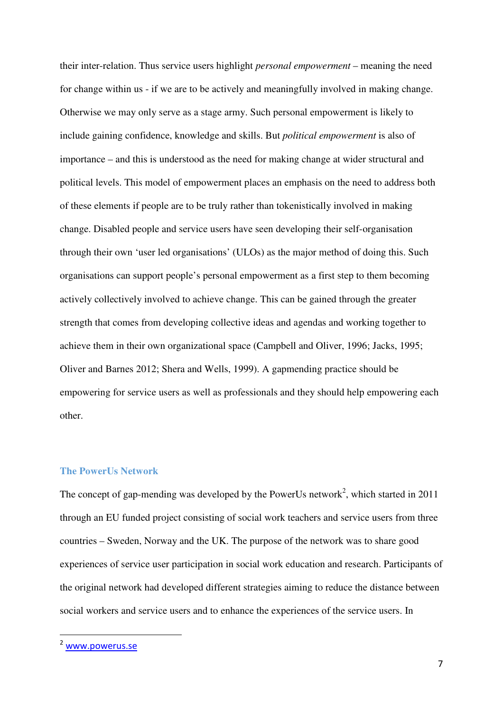their inter-relation. Thus service users highlight *personal empowerment* – meaning the need for change within us - if we are to be actively and meaningfully involved in making change. Otherwise we may only serve as a stage army. Such personal empowerment is likely to include gaining confidence, knowledge and skills. But *political empowerment* is also of importance – and this is understood as the need for making change at wider structural and political levels. This model of empowerment places an emphasis on the need to address both of these elements if people are to be truly rather than tokenistically involved in making change. Disabled people and service users have seen developing their self-organisation through their own 'user led organisations' (ULOs) as the major method of doing this. Such organisations can support people's personal empowerment as a first step to them becoming actively collectively involved to achieve change. This can be gained through the greater strength that comes from developing collective ideas and agendas and working together to achieve them in their own organizational space (Campbell and Oliver, 1996; Jacks, 1995; Oliver and Barnes 2012; Shera and Wells, 1999). A gapmending practice should be empowering for service users as well as professionals and they should help empowering each other.

# **The PowerUs Network**

The concept of gap-mending was developed by the PowerUs network<sup>2</sup>, which started in 2011 through an EU funded project consisting of social work teachers and service users from three countries – Sweden, Norway and the UK. The purpose of the network was to share good experiences of service user participation in social work education and research. Participants of the original network had developed different strategies aiming to reduce the distance between social workers and service users and to enhance the experiences of the service users. In

j

<sup>2</sup> www.powerus.se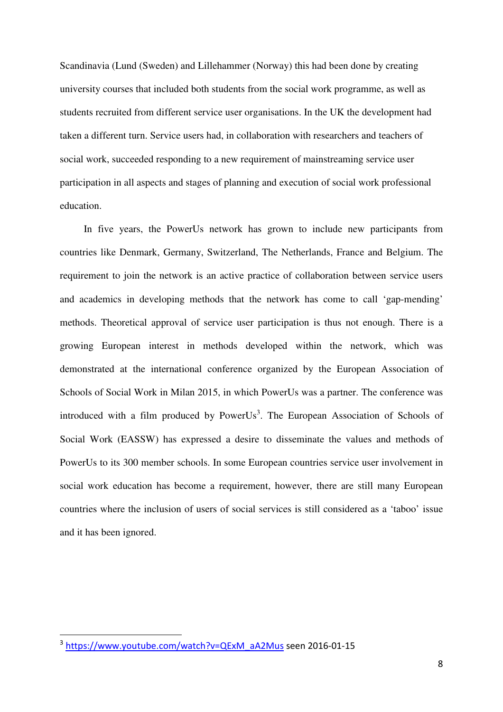Scandinavia (Lund (Sweden) and Lillehammer (Norway) this had been done by creating university courses that included both students from the social work programme, as well as students recruited from different service user organisations. In the UK the development had taken a different turn. Service users had, in collaboration with researchers and teachers of social work, succeeded responding to a new requirement of mainstreaming service user participation in all aspects and stages of planning and execution of social work professional education.

In five years, the PowerUs network has grown to include new participants from countries like Denmark, Germany, Switzerland, The Netherlands, France and Belgium. The requirement to join the network is an active practice of collaboration between service users and academics in developing methods that the network has come to call 'gap-mending' methods. Theoretical approval of service user participation is thus not enough. There is a growing European interest in methods developed within the network, which was demonstrated at the international conference organized by the European Association of Schools of Social Work in Milan 2015, in which PowerUs was a partner. The conference was introduced with a film produced by PowerUs<sup>3</sup>. The European Association of Schools of Social Work (EASSW) has expressed a desire to disseminate the values and methods of PowerUs to its 300 member schools. In some European countries service user involvement in social work education has become a requirement, however, there are still many European countries where the inclusion of users of social services is still considered as a 'taboo' issue and it has been ignored.

j

<sup>&</sup>lt;sup>3</sup> https://www.youtube.com/watch?v=QExM\_aA2Mus seen 2016-01-15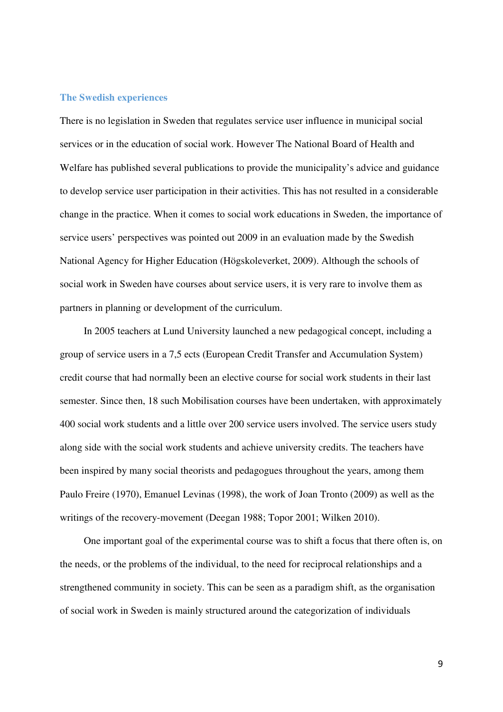## **The Swedish experiences**

There is no legislation in Sweden that regulates service user influence in municipal social services or in the education of social work. However The National Board of Health and Welfare has published several publications to provide the municipality's advice and guidance to develop service user participation in their activities. This has not resulted in a considerable change in the practice. When it comes to social work educations in Sweden, the importance of service users' perspectives was pointed out 2009 in an evaluation made by the Swedish National Agency for Higher Education (Högskoleverket, 2009). Although the schools of social work in Sweden have courses about service users, it is very rare to involve them as partners in planning or development of the curriculum.

In 2005 teachers at Lund University launched a new pedagogical concept, including a group of service users in a 7,5 ects (European Credit Transfer and Accumulation System) credit course that had normally been an elective course for social work students in their last semester. Since then, 18 such Mobilisation courses have been undertaken, with approximately 400 social work students and a little over 200 service users involved. The service users study along side with the social work students and achieve university credits. The teachers have been inspired by many social theorists and pedagogues throughout the years, among them Paulo Freire (1970), Emanuel Levinas (1998), the work of Joan Tronto (2009) as well as the writings of the recovery-movement (Deegan 1988; Topor 2001; Wilken 2010).

One important goal of the experimental course was to shift a focus that there often is, on the needs, or the problems of the individual, to the need for reciprocal relationships and a strengthened community in society. This can be seen as a paradigm shift, as the organisation of social work in Sweden is mainly structured around the categorization of individuals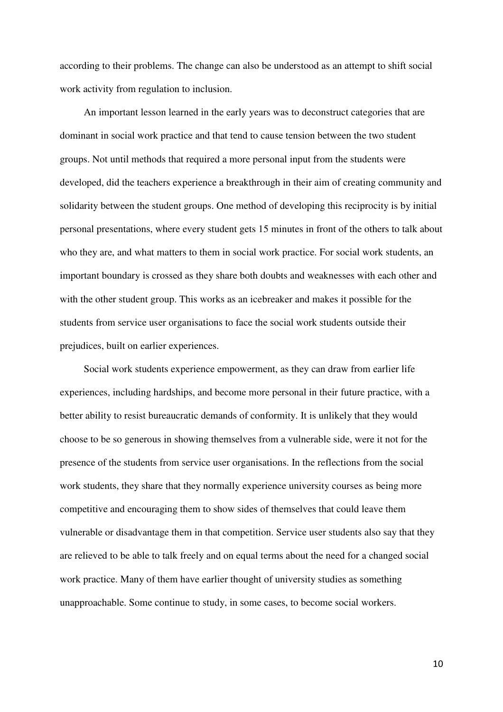according to their problems. The change can also be understood as an attempt to shift social work activity from regulation to inclusion.

An important lesson learned in the early years was to deconstruct categories that are dominant in social work practice and that tend to cause tension between the two student groups. Not until methods that required a more personal input from the students were developed, did the teachers experience a breakthrough in their aim of creating community and solidarity between the student groups. One method of developing this reciprocity is by initial personal presentations, where every student gets 15 minutes in front of the others to talk about who they are, and what matters to them in social work practice. For social work students, an important boundary is crossed as they share both doubts and weaknesses with each other and with the other student group. This works as an icebreaker and makes it possible for the students from service user organisations to face the social work students outside their prejudices, built on earlier experiences.

Social work students experience empowerment, as they can draw from earlier life experiences, including hardships, and become more personal in their future practice, with a better ability to resist bureaucratic demands of conformity. It is unlikely that they would choose to be so generous in showing themselves from a vulnerable side, were it not for the presence of the students from service user organisations. In the reflections from the social work students, they share that they normally experience university courses as being more competitive and encouraging them to show sides of themselves that could leave them vulnerable or disadvantage them in that competition. Service user students also say that they are relieved to be able to talk freely and on equal terms about the need for a changed social work practice. Many of them have earlier thought of university studies as something unapproachable. Some continue to study, in some cases, to become social workers.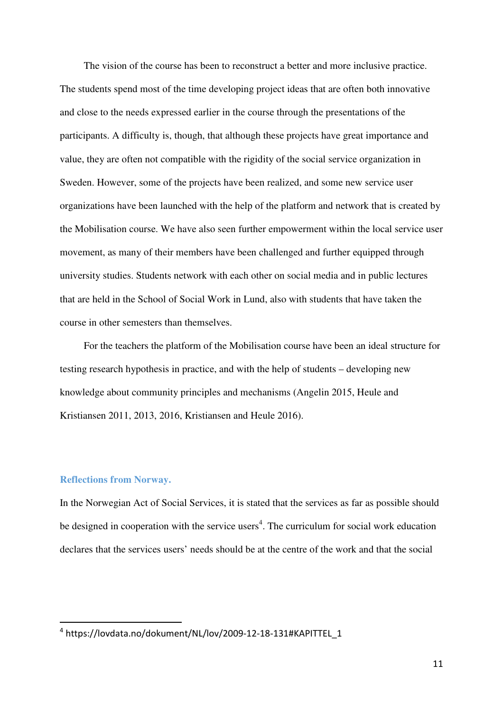The vision of the course has been to reconstruct a better and more inclusive practice. The students spend most of the time developing project ideas that are often both innovative and close to the needs expressed earlier in the course through the presentations of the participants. A difficulty is, though, that although these projects have great importance and value, they are often not compatible with the rigidity of the social service organization in Sweden. However, some of the projects have been realized, and some new service user organizations have been launched with the help of the platform and network that is created by the Mobilisation course. We have also seen further empowerment within the local service user movement, as many of their members have been challenged and further equipped through university studies. Students network with each other on social media and in public lectures that are held in the School of Social Work in Lund, also with students that have taken the course in other semesters than themselves.

For the teachers the platform of the Mobilisation course have been an ideal structure for testing research hypothesis in practice, and with the help of students – developing new knowledge about community principles and mechanisms (Angelin 2015, Heule and Kristiansen 2011, 2013, 2016, Kristiansen and Heule 2016).

## **Reflections from Norway.**

j

In the Norwegian Act of Social Services, it is stated that the services as far as possible should be designed in cooperation with the service users<sup>4</sup>. The curriculum for social work education declares that the services users' needs should be at the centre of the work and that the social

<sup>4</sup> https://lovdata.no/dokument/NL/lov/2009-12-18-131#KAPITTEL\_1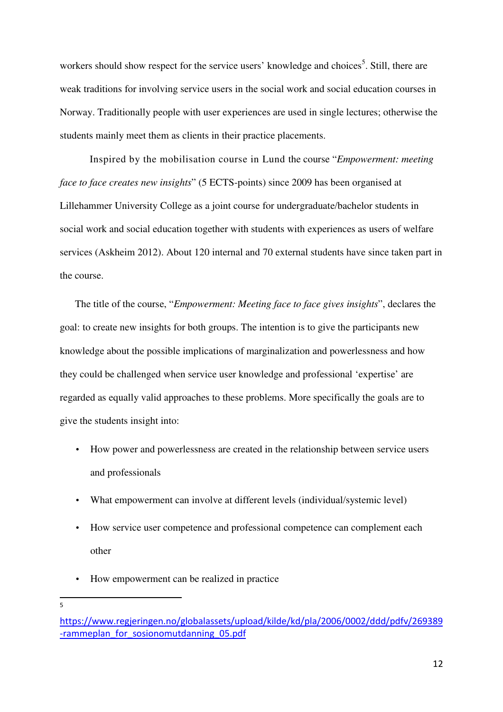workers should show respect for the service users' knowledge and choices<sup>5</sup>. Still, there are weak traditions for involving service users in the social work and social education courses in Norway. Traditionally people with user experiences are used in single lectures; otherwise the students mainly meet them as clients in their practice placements.

Inspired by the mobilisation course in Lund the course "*Empowerment: meeting face to face creates new insights*" (5 ECTS-points) since 2009 has been organised at Lillehammer University College as a joint course for undergraduate/bachelor students in social work and social education together with students with experiences as users of welfare services (Askheim 2012). About 120 internal and 70 external students have since taken part in the course.

The title of the course, "*Empowerment: Meeting face to face gives insights*", declares the goal: to create new insights for both groups. The intention is to give the participants new knowledge about the possible implications of marginalization and powerlessness and how they could be challenged when service user knowledge and professional 'expertise' are regarded as equally valid approaches to these problems. More specifically the goals are to give the students insight into:

- How power and powerlessness are created in the relationship between service users and professionals
- What empowerment can involve at different levels (individual/systemic level)
- How service user competence and professional competence can complement each other
- How empowerment can be realized in practice

j 5

https://www.regjeringen.no/globalassets/upload/kilde/kd/pla/2006/0002/ddd/pdfv/269389 -rammeplan\_for\_sosionomutdanning\_05.pdf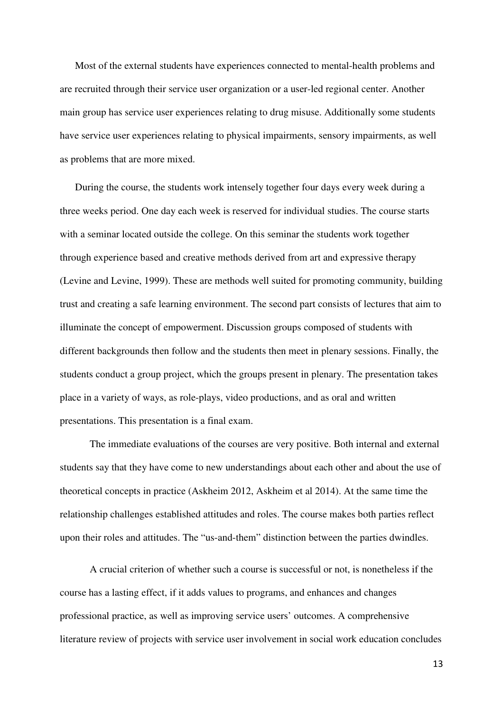Most of the external students have experiences connected to mental-health problems and are recruited through their service user organization or a user-led regional center. Another main group has service user experiences relating to drug misuse. Additionally some students have service user experiences relating to physical impairments, sensory impairments, as well as problems that are more mixed.

During the course, the students work intensely together four days every week during a three weeks period. One day each week is reserved for individual studies. The course starts with a seminar located outside the college. On this seminar the students work together through experience based and creative methods derived from art and expressive therapy (Levine and Levine, 1999). These are methods well suited for promoting community, building trust and creating a safe learning environment. The second part consists of lectures that aim to illuminate the concept of empowerment. Discussion groups composed of students with different backgrounds then follow and the students then meet in plenary sessions. Finally, the students conduct a group project, which the groups present in plenary. The presentation takes place in a variety of ways, as role-plays, video productions, and as oral and written presentations. This presentation is a final exam.

The immediate evaluations of the courses are very positive. Both internal and external students say that they have come to new understandings about each other and about the use of theoretical concepts in practice (Askheim 2012, Askheim et al 2014). At the same time the relationship challenges established attitudes and roles. The course makes both parties reflect upon their roles and attitudes. The "us-and-them" distinction between the parties dwindles.

A crucial criterion of whether such a course is successful or not, is nonetheless if the course has a lasting effect, if it adds values to programs, and enhances and changes professional practice, as well as improving service users' outcomes. A comprehensive literature review of projects with service user involvement in social work education concludes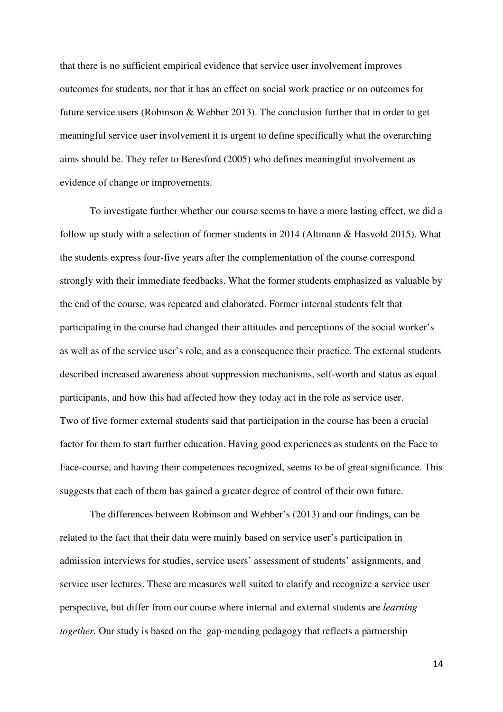that there is no sufficient empirical evidence that service user involvement improves outcomes for students, nor that it has an effect on social work practice or on outcomes for future service users (Robinson & Webber 2013). The conclusion further that in order to get meaningful service user involvement it is urgent to define specifically what the overarching aims should be. They refer to Beresford (2005) who defines meaningful involvement as evidence of change or improvements.

To investigate further whether our course seems to have a more lasting effect, we did a follow up study with a selection of former students in 2014 (Altmann & Hasvold 2015). What the students express four-five years after the complementation of the course correspond strongly with their immediate feedbacks. What the former students emphasized as valuable by the end of the course, was repeated and elaborated. Former internal students felt that participating in the course had changed their attitudes and perceptions of the social worker's as well as of the service user's role, and as a consequence their practice. The external students described increased awareness about suppression mechanisms, self-worth and status as equal participants, and how this had affected how they today act in the role as service user. Two of five former external students said that participation in the course has been a crucial factor for them to start further education. Having good experiences as students on the Face to Face-course, and having their competences recognized, seems to be of great significance. This suggests that each of them has gained a greater degree of control of their own future.

The differences between Robinson and Webber's (2013) and our findings, can be related to the fact that their data were mainly based on service user's participation in admission interviews for studies, service users' assessment of students' assignments, and service user lectures. These are measures well suited to clarify and recognize a service user perspective, but differ from our course where internal and external students are *learning together.* Our study is based on the gap-mending pedagogy that reflects a partnership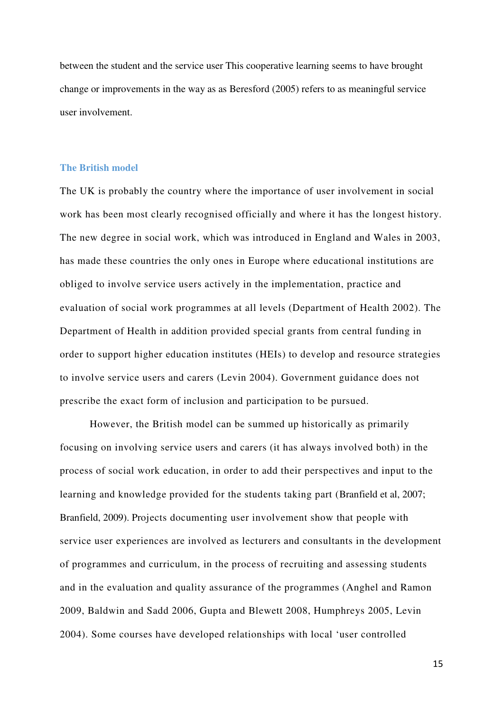between the student and the service user This cooperative learning seems to have brought change or improvements in the way as as Beresford (2005) refers to as meaningful service user involvement.

#### **The British model**

The UK is probably the country where the importance of user involvement in social work has been most clearly recognised officially and where it has the longest history. The new degree in social work, which was introduced in England and Wales in 2003, has made these countries the only ones in Europe where educational institutions are obliged to involve service users actively in the implementation, practice and evaluation of social work programmes at all levels (Department of Health 2002). The Department of Health in addition provided special grants from central funding in order to support higher education institutes (HEIs) to develop and resource strategies to involve service users and carers (Levin 2004). Government guidance does not prescribe the exact form of inclusion and participation to be pursued.

However, the British model can be summed up historically as primarily focusing on involving service users and carers (it has always involved both) in the process of social work education, in order to add their perspectives and input to the learning and knowledge provided for the students taking part (Branfield et al, 2007; Branfield, 2009). Projects documenting user involvement show that people with service user experiences are involved as lecturers and consultants in the development of programmes and curriculum, in the process of recruiting and assessing students and in the evaluation and quality assurance of the programmes (Anghel and Ramon 2009, Baldwin and Sadd 2006, Gupta and Blewett 2008, Humphreys 2005, Levin 2004). Some courses have developed relationships with local 'user controlled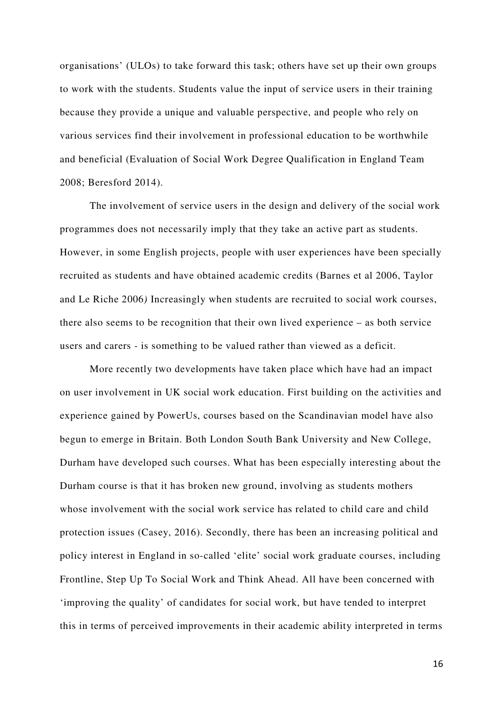organisations' (ULOs) to take forward this task; others have set up their own groups to work with the students. Students value the input of service users in their training because they provide a unique and valuable perspective, and people who rely on various services find their involvement in professional education to be worthwhile and beneficial (Evaluation of Social Work Degree Qualification in England Team 2008; Beresford 2014).

The involvement of service users in the design and delivery of the social work programmes does not necessarily imply that they take an active part as students. However, in some English projects, people with user experiences have been specially recruited as students and have obtained academic credits (Barnes et al 2006, Taylor and Le Riche 2006*)* Increasingly when students are recruited to social work courses, there also seems to be recognition that their own lived experience – as both service users and carers - is something to be valued rather than viewed as a deficit.

More recently two developments have taken place which have had an impact on user involvement in UK social work education. First building on the activities and experience gained by PowerUs, courses based on the Scandinavian model have also begun to emerge in Britain. Both London South Bank University and New College, Durham have developed such courses. What has been especially interesting about the Durham course is that it has broken new ground, involving as students mothers whose involvement with the social work service has related to child care and child protection issues (Casey, 2016). Secondly, there has been an increasing political and policy interest in England in so-called 'elite' social work graduate courses, including Frontline, Step Up To Social Work and Think Ahead. All have been concerned with 'improving the quality' of candidates for social work, but have tended to interpret this in terms of perceived improvements in their academic ability interpreted in terms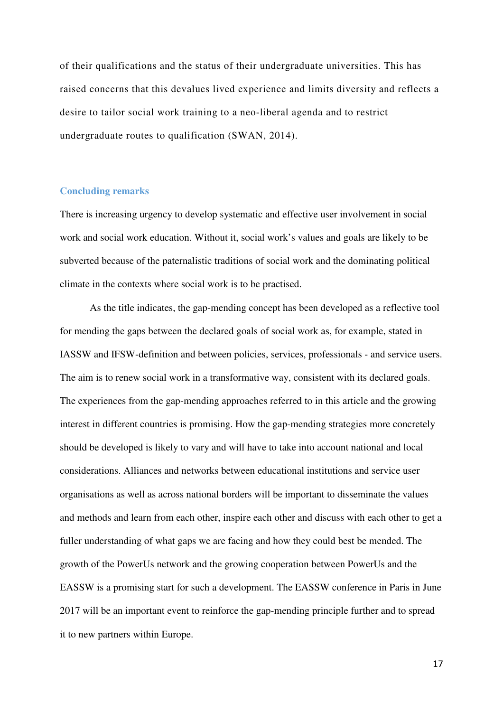of their qualifications and the status of their undergraduate universities. This has raised concerns that this devalues lived experience and limits diversity and reflects a desire to tailor social work training to a neo-liberal agenda and to restrict undergraduate routes to qualification (SWAN, 2014).

### **Concluding remarks**

There is increasing urgency to develop systematic and effective user involvement in social work and social work education. Without it, social work's values and goals are likely to be subverted because of the paternalistic traditions of social work and the dominating political climate in the contexts where social work is to be practised.

As the title indicates, the gap-mending concept has been developed as a reflective tool for mending the gaps between the declared goals of social work as, for example, stated in IASSW and IFSW-definition and between policies, services, professionals - and service users. The aim is to renew social work in a transformative way, consistent with its declared goals. The experiences from the gap-mending approaches referred to in this article and the growing interest in different countries is promising. How the gap-mending strategies more concretely should be developed is likely to vary and will have to take into account national and local considerations. Alliances and networks between educational institutions and service user organisations as well as across national borders will be important to disseminate the values and methods and learn from each other, inspire each other and discuss with each other to get a fuller understanding of what gaps we are facing and how they could best be mended. The growth of the PowerUs network and the growing cooperation between PowerUs and the EASSW is a promising start for such a development. The EASSW conference in Paris in June 2017 will be an important event to reinforce the gap-mending principle further and to spread it to new partners within Europe.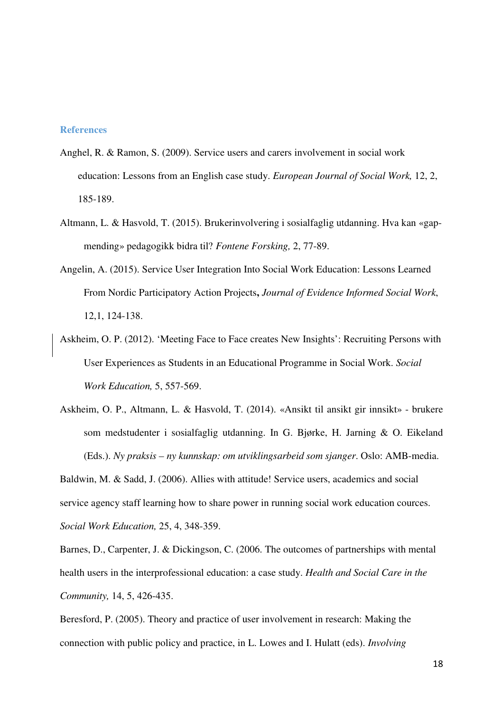#### **References**

- Anghel, R. & Ramon, S. (2009). Service users and carers involvement in social work education: Lessons from an English case study. *European Journal of Social Work,* 12, 2, 185-189.
- Altmann, L. & Hasvold, T. (2015). Brukerinvolvering i sosialfaglig utdanning. Hva kan «gapmending» pedagogikk bidra til? *Fontene Forsking,* 2, 77-89.
- Angelin, A. (2015). Service User Integration Into Social Work Education: Lessons Learned From Nordic Participatory Action Projects**,** *Journal of Evidence Informed Social Work*, 12,1, 124-138.
- Askheim, O. P. (2012). 'Meeting Face to Face creates New Insights': Recruiting Persons with User Experiences as Students in an Educational Programme in Social Work. *Social Work Education,* 5, 557-569.
- Askheim, O. P., Altmann, L. & Hasvold, T. (2014). «Ansikt til ansikt gir innsikt» brukere som medstudenter i sosialfaglig utdanning. In G. Bjørke, H. Jarning & O. Eikeland (Eds.). *Ny praksis – ny kunnskap: om utviklingsarbeid som sjanger*. Oslo: AMB-media.

Baldwin, M. & Sadd, J. (2006). Allies with attitude! Service users, academics and social service agency staff learning how to share power in running social work education cources. *Social Work Education,* 25, 4, 348-359.

Barnes, D., Carpenter, J. & Dickingson, C. (2006. The outcomes of partnerships with mental health users in the interprofessional education: a case study. *Health and Social Care in the Community,* 14, 5, 426-435.

Beresford, P. (2005). Theory and practice of user involvement in research: Making the connection with public policy and practice, in L. Lowes and I. Hulatt (eds). *Involving*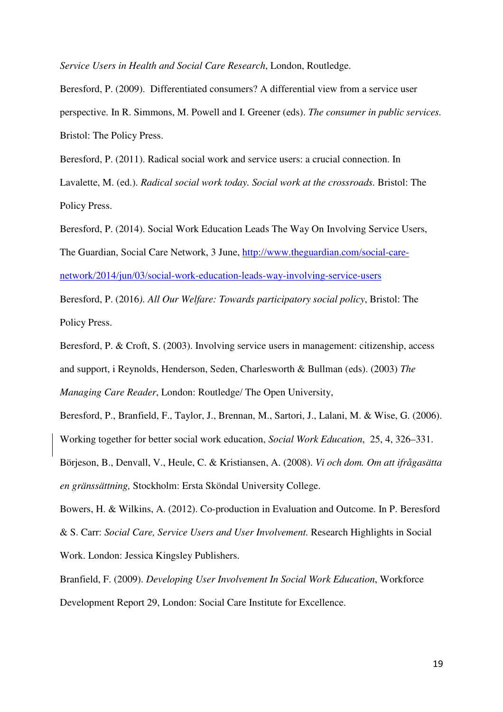*Service Users in Health and Social Care Research*, London, Routledge.

Beresford, P. (2009). Differentiated consumers? A differential view from a service user perspective. In R. Simmons, M. Powell and I. Greener (eds). *The consumer in public services.*  Bristol: The Policy Press.

Beresford, P. (2011). Radical social work and service users: a crucial connection. In Lavalette, M. (ed.). *Radical social work today. Social work at the crossroads.* Bristol: The Policy Press.

Beresford, P. (2014). Social Work Education Leads The Way On Involving Service Users, The Guardian, Social Care Network, 3 June, http://www.theguardian.com/social-carenetwork/2014/jun/03/social-work-education-leads-way-involving-service-users

Beresford, P. (2016*). All Our Welfare: Towards participatory social policy*, Bristol: The Policy Press.

Beresford, P. & Croft, S. (2003). Involving service users in management: citizenship, access and support, i Reynolds, Henderson, Seden, Charlesworth & Bullman (eds). (2003) *The Managing Care Reader*, London: Routledge/ The Open University,

Beresford, P., Branfield, F., Taylor, J., Brennan, M., Sartori, J., Lalani, M. & Wise, G. (2006). Working together for better social work education, *Social Work Education*, 25, 4, 326–331.

Börjeson, B., Denvall, V., Heule, C. & Kristiansen, A. (2008). *Vi och dom. Om att ifrågasätta en gränssättning,* Stockholm: Ersta Sköndal University College.

Bowers, H. & Wilkins, A. (2012). Co-production in Evaluation and Outcome. In P. Beresford & S. Carr: *Social Care, Service Users and User Involvement.* Research Highlights in Social Work. London: Jessica Kingsley Publishers.

Branfield, F. (2009). *Developing User Involvement In Social Work Education*, Workforce Development Report 29, London: Social Care Institute for Excellence.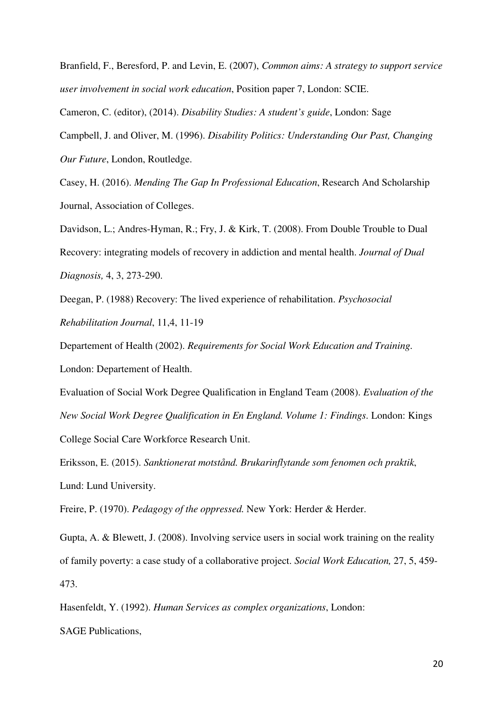Branfield, F., Beresford, P. and Levin, E. (2007), *Common aims: A strategy to support service user involvement in social work education*, Position paper 7, London: SCIE.

Cameron, C. (editor), (2014). *Disability Studies: A student's guide*, London: Sage

Campbell, J. and Oliver, M. (1996). *Disability Politics: Understanding Our Past, Changing Our Future*, London, Routledge.

Casey, H. (2016). *Mending The Gap In Professional Education*, Research And Scholarship Journal, Association of Colleges.

Davidson, L.; Andres-Hyman, R.; Fry, J. & Kirk, T. (2008). From Double Trouble to Dual Recovery: integrating models of recovery in addiction and mental health. *Journal of Dual Diagnosis,* 4, 3, 273-290.

Deegan, P. (1988) Recovery: The lived experience of rehabilitation. *Psychosocial Rehabilitation Journal*, 11,4, 11-19

Departement of Health (2002). *Requirements for Social Work Education and Training.*  London: Departement of Health.

Evaluation of Social Work Degree Qualification in England Team (2008). *Evaluation of the New Social Work Degree Qualification in En England. Volume 1: Findings.* London: Kings College Social Care Workforce Research Unit.

Eriksson, E. (2015). *Sanktionerat motstånd. Brukarinflytande som fenomen och praktik*, Lund: Lund University.

Freire, P. (1970). *Pedagogy of the oppressed.* New York: Herder & Herder.

Gupta, A. & Blewett, J. (2008). Involving service users in social work training on the reality of family poverty: a case study of a collaborative project. *Social Work Education,* 27, 5, 459- 473.

Hasenfeldt, Y. (1992). *Human Services as complex organizations*, London:

SAGE Publications,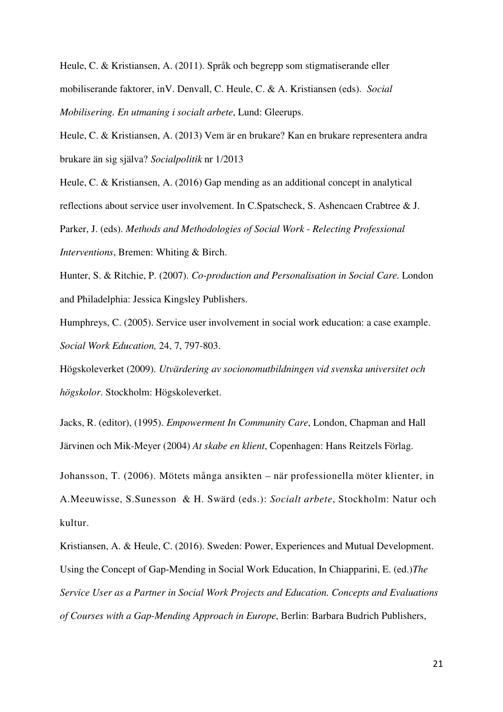Heule, C. & Kristiansen, A. (2011). Språk och begrepp som stigmatiserande eller mobiliserande faktorer, inV. Denvall, C. Heule, C. & A. Kristiansen (eds). *Social Mobilisering. En utmaning i socialt arbete*, Lund: Gleerups.

Heule, C. & Kristiansen, A. (2013) Vem är en brukare? Kan en brukare representera andra brukare än sig själva? *Socialpolitik* nr 1/2013

Heule, C. & Kristiansen, A. (2016) Gap mending as an additional concept in analytical reflections about service user involvement. In C.Spatscheck, S. Ashencaen Crabtree & J. Parker, J. (eds). *Methods and Methodologies of Social Work - Relecting Professional Interventions*, Bremen: Whiting & Birch.

Hunter, S. & Ritchie, P. (2007). *Co-production and Personalisation in Social Care.* London and Philadelphia: Jessica Kingsley Publishers.

Humphreys, C. (2005). Service user involvement in social work education: a case example. *Social Work Education,* 24, 7, 797-803.

Högskoleverket (2009). *Utvärdering av socionomutbildningen vid svenska universitet och högskolor*. Stockholm: Högskoleverket.

Jacks, R. (editor), (1995). *Empowerment In Community Care*, London, Chapman and Hall Järvinen och Mik-Meyer (2004) *At skabe en klient*, Copenhagen: Hans Reitzels Förlag.

Johansson, T. (2006). Mötets många ansikten – när professionella möter klienter, in A.Meeuwisse, S.Sunesson & H. Swärd (eds.): *Socialt arbete*, Stockholm: Natur och kultur.

Kristiansen, A. & Heule, C. (2016). Sweden: Power, Experiences and Mutual Development. Using the Concept of Gap-Mending in Social Work Education, In Chiapparini, E. (ed.)*The Service User as a Partner in Social Work Projects and Education. Concepts and Evaluations of Courses with a Gap-Mending Approach in Europe*, Berlin: Barbara Budrich Publishers,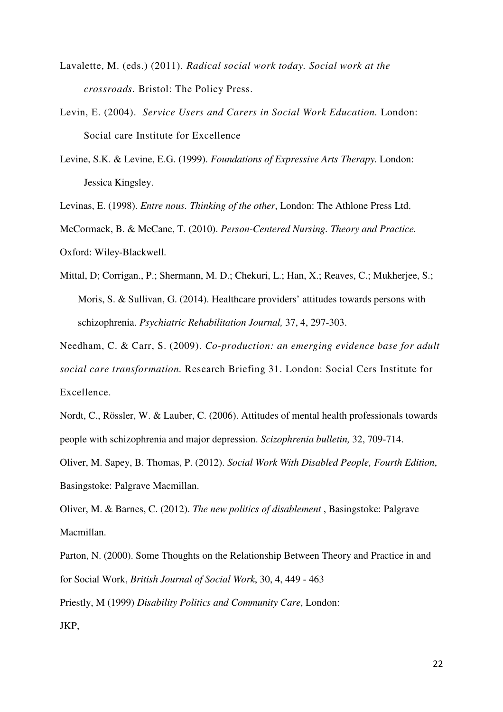- Lavalette, M. (eds.) (2011). *Radical social work today. Social work at the crossroads.* Bristol: The Policy Press.
- Levin, E. (2004). *Service Users and Carers in Social Work Education.* London: Social care Institute for Excellence
- Levine, S.K. & Levine, E.G. (1999). *Foundations of Expressive Arts Therapy.* London: Jessica Kingsley.

Levinas, E. (1998). *Entre nous. Thinking of the other*, London: The Athlone Press Ltd.

McCormack, B. & McCane, T. (2010). *Person-Centered Nursing. Theory and Practice.*  Oxford: Wiley-Blackwell.

Mittal, D; Corrigan., P.; Shermann, M. D.; Chekuri, L.; Han, X.; Reaves, C.; Mukherjee, S.; Moris, S. & Sullivan, G. (2014). Healthcare providers' attitudes towards persons with schizophrenia. *Psychiatric Rehabilitation Journal,* 37, 4, 297-303.

Needham, C. & Carr, S. (2009). *Co-production: an emerging evidence base for adult social care transformation.* Research Briefing 31. London: Social Cers Institute for Excellence.

Nordt, C., Rössler, W. & Lauber, C. (2006). Attitudes of mental health professionals towards people with schizophrenia and major depression. *Scizophrenia bulletin,* 32, 709-714.

Oliver, M. Sapey, B. Thomas, P. (2012). *Social Work With Disabled People, Fourth Edition*, Basingstoke: Palgrave Macmillan.

Oliver, M. & Barnes, C. (2012). *The new politics of disablement* , Basingstoke: Palgrave Macmillan.

Parton, N. (2000). Some Thoughts on the Relationship Between Theory and Practice in and for Social Work, *British Journal of Social Work*, 30, 4, 449 - 463 Priestly, M (1999) *Disability Politics and Community Care*, London: JKP,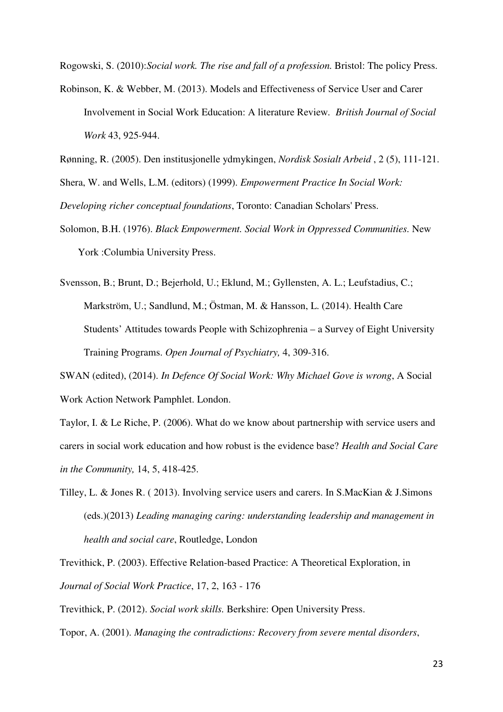Rogowski, S. (2010):*Social work. The rise and fall of a profession.* Bristol: The policy Press.

Robinson, K. & Webber, M. (2013). Models and Effectiveness of Service User and Carer Involvement in Social Work Education: A literature Review*. British Journal of Social Work* 43, 925-944.

Rønning, R. (2005). Den institusjonelle ydmykingen, *Nordisk Sosialt Arbeid* , 2 (5), 111-121.

Shera, W. and Wells, L.M. (editors) (1999). *Empowerment Practice In Social Work:* 

*Developing richer conceptual foundations*, Toronto: Canadian Scholars' Press.

Solomon, B.H. (1976). *Black Empowerment. Social Work in Oppressed Communities.* New York :Columbia University Press.

Svensson, B.; Brunt, D.; Bejerhold, U.; Eklund, M.; Gyllensten, A. L.; Leufstadius, C.; Markström, U.; Sandlund, M.; Östman, M. & Hansson, L. (2014). Health Care Students' Attitudes towards People with Schizophrenia – a Survey of Eight University Training Programs. *Open Journal of Psychiatry,* 4, 309-316.

SWAN (edited), (2014). *In Defence Of Social Work: Why Michael Gove is wrong*, A Social Work Action Network Pamphlet. London.

Taylor, I. & Le Riche, P. (2006). What do we know about partnership with service users and carers in social work education and how robust is the evidence base? *Health and Social Care in the Community,* 14, 5, 418-425.

Tilley, L. & Jones R. ( 2013). Involving service users and carers. In S.MacKian & J.Simons (eds.)(2013) *Leading managing caring: understanding leadership and management in health and social care*, Routledge, London

Trevithick, P. (2003). Effective Relation-based Practice: A Theoretical Exploration, in *Journal of Social Work Practice*, 17, 2, 163 - 176

Trevithick, P. (2012). *Social work skills.* Berkshire: Open University Press.

Topor, A. (2001). *Managing the contradictions: Recovery from severe mental disorders*,